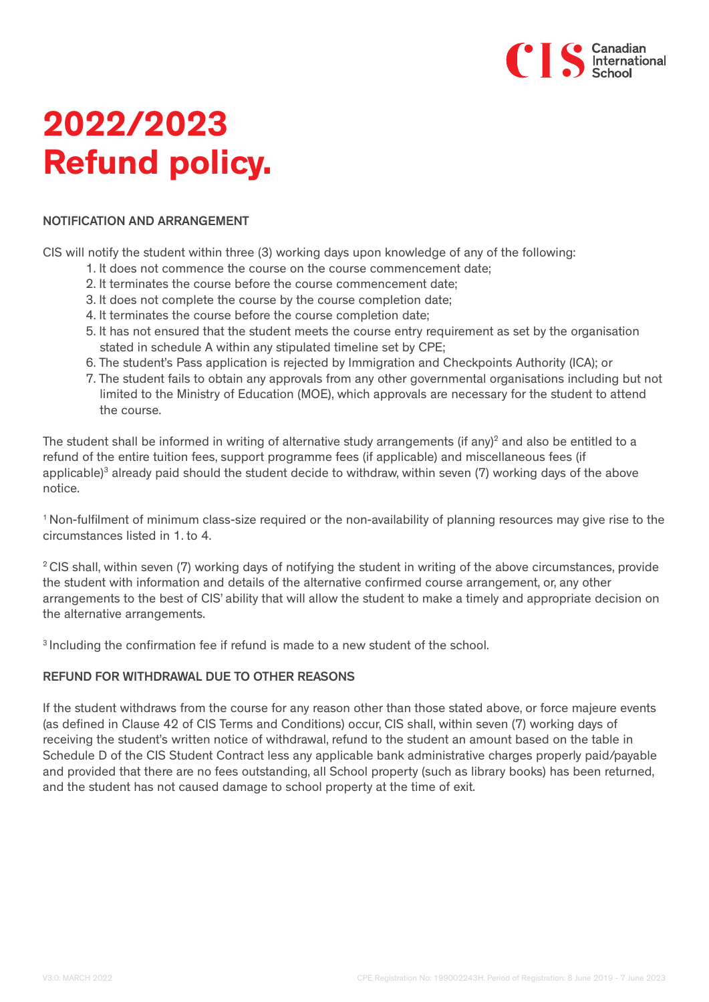

# **2022/2023 Refund policy.**

#### NOTIFICATION AND ARRANGEMENT

CIS will notify the student within three (3) working days upon knowledge of any of the following:

- 1. It does not commence the course on the course commencement date;
- 2. It terminates the course before the course commencement date;
- 3. It does not complete the course by the course completion date;
- 4. It terminates the course before the course completion date;
- 5. It has not ensured that the student meets the course entry requirement as set by the organisation stated in schedule A within any stipulated timeline set by CPE;
- 6. The student's Pass application is rejected by Immigration and Checkpoints Authority (ICA); or
- 7. The student fails to obtain any approvals from any other governmental organisations including but not limited to the Ministry of Education (MOE), which approvals are necessary for the student to attend the course.

The student shall be informed in writing of alternative study arrangements (if any)<sup>2</sup> and also be entitled to a refund of the entire tuition fees, support programme fees (if applicable) and miscellaneous fees (if applicable)<sup>3</sup> already paid should the student decide to withdraw, within seven (7) working days of the above notice.

1 Non-fulfilment of minimum class-size required or the non-availability of planning resources may give rise to the circumstances listed in 1. to 4.

<sup>2</sup> CIS shall, within seven (7) working days of notifying the student in writing of the above circumstances, provide the student with information and details of the alternative confirmed course arrangement, or, any other arrangements to the best of CIS' ability that will allow the student to make a timely and appropriate decision on the alternative arrangements.

3 Including the confirmation fee if refund is made to a new student of the school.

# REFUND FOR WITHDRAWAL DUE TO OTHER REASONS

If the student withdraws from the course for any reason other than those stated above, or force majeure events (as defined in Clause 42 of CIS Terms and Conditions) occur, CIS shall, within seven (7) working days of receiving the student's written notice of withdrawal, refund to the student an amount based on the table in Schedule D of the CIS Student Contract less any applicable bank administrative charges properly paid/payable and provided that there are no fees outstanding, all School property (such as library books) has been returned, and the student has not caused damage to school property at the time of exit.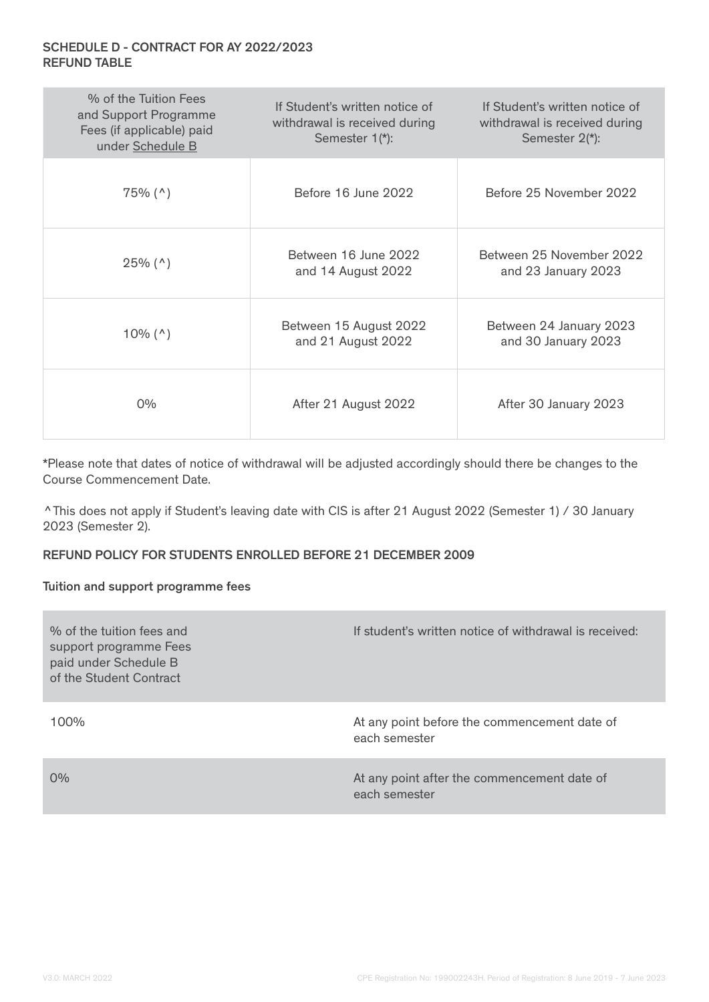# SCHEDULE D - CONTRACT FOR AY 2022/2023 REFUND TABLE

| % of the Tuition Fees<br>and Support Programme<br>Fees (if applicable) paid<br>under Schedule B | If Student's written notice of<br>withdrawal is received during<br>Semester 1(*): | If Student's written notice of<br>withdrawal is received during<br>Semester 2(*): |
|-------------------------------------------------------------------------------------------------|-----------------------------------------------------------------------------------|-----------------------------------------------------------------------------------|
| $75\%$ (^)                                                                                      | Before 16 June 2022                                                               | Before 25 November 2022                                                           |
| $25\%$ (^)                                                                                      | Between 16 June 2022<br>and 14 August 2022                                        | Between 25 November 2022<br>and 23 January 2023                                   |
| $10\%$ (^)                                                                                      | Between 15 August 2022<br>and 21 August 2022                                      | Between 24 January 2023<br>and 30 January 2023                                    |
| $0\%$                                                                                           | After 21 August 2022                                                              | After 30 January 2023                                                             |

\*Please note that dates of notice of withdrawal will be adjusted accordingly should there be changes to the Course Commencement Date.

^This does not apply if Student's leaving date with CIS is after 21 August 2022 (Semester 1) / 30 January 2023 (Semester 2).

# REFUND POLICY FOR STUDENTS ENROLLED BEFORE 21 DECEMBER 2009

#### Tuition and support programme fees

| % of the fuition fees and<br>support programme Fees<br>paid under Schedule B<br>of the Student Contract | If student's written notice of withdrawal is received:        |
|---------------------------------------------------------------------------------------------------------|---------------------------------------------------------------|
| $100\%$                                                                                                 | At any point before the commencement date of<br>each semester |
| $0\%$                                                                                                   | At any point after the commencement date of<br>each semester  |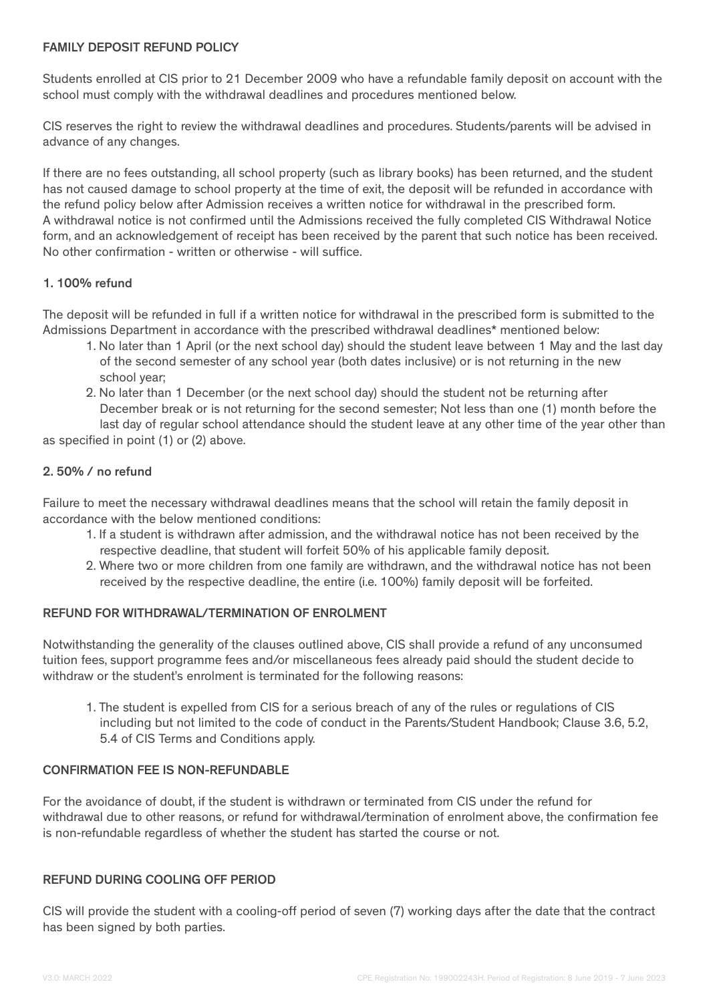### FAMILY DEPOSIT REFUND POLICY

Students enrolled at CIS prior to 21 December 2009 who have a refundable family deposit on account with the school must comply with the withdrawal deadlines and procedures mentioned below.

CIS reserves the right to review the withdrawal deadlines and procedures. Students/parents will be advised in advance of any changes.

If there are no fees outstanding, all school property (such as library books) has been returned, and the student has not caused damage to school property at the time of exit, the deposit will be refunded in accordance with the refund policy below after Admission receives a written notice for withdrawal in the prescribed form. A withdrawal notice is not confirmed until the Admissions received the fully completed CIS Withdrawal Notice form, and an acknowledgement of receipt has been received by the parent that such notice has been received. No other confirmation - written or otherwise - will suffice.

## 1. 100% refund

The deposit will be refunded in full if a written notice for withdrawal in the prescribed form is submitted to the Admissions Department in accordance with the prescribed withdrawal deadlines\* mentioned below:

- 1. No later than 1 April (or the next school day) should the student leave between 1 May and the last day of the second semester of any school year (both dates inclusive) or is not returning in the new school year;
- 2. No later than 1 December (or the next school day) should the student not be returning after December break or is not returning for the second semester; Not less than one (1) month before the

 last day of regular school attendance should the student leave at any other time of the year other than as specified in point (1) or (2) above.

# 2. 50% / no refund

Failure to meet the necessary withdrawal deadlines means that the school will retain the family deposit in accordance with the below mentioned conditions:

- 1. If a student is withdrawn after admission, and the withdrawal notice has not been received by the respective deadline, that student will forfeit 50% of his applicable family deposit.
- 2. Where two or more children from one family are withdrawn, and the withdrawal notice has not been received by the respective deadline, the entire (i.e. 100%) family deposit will be forfeited.

## REFUND FOR WITHDRAWAL/TERMINATION OF ENROLMENT

Notwithstanding the generality of the clauses outlined above, CIS shall provide a refund of any unconsumed tuition fees, support programme fees and/or miscellaneous fees already paid should the student decide to withdraw or the student's enrolment is terminated for the following reasons:

1. The student is expelled from CIS for a serious breach of any of the rules or regulations of CIS including but not limited to the code of conduct in the Parents/Student Handbook; Clause 3.6, 5.2, 5.4 of CIS Terms and Conditions apply.

#### CONFIRMATION FEE IS NON-REFUNDABLE

For the avoidance of doubt, if the student is withdrawn or terminated from CIS under the refund for withdrawal due to other reasons, or refund for withdrawal/termination of enrolment above, the confirmation fee is non-refundable regardless of whether the student has started the course or not.

#### REFUND DURING COOLING OFF PERIOD

CIS will provide the student with a cooling-off period of seven (7) working days after the date that the contract has been signed by both parties.